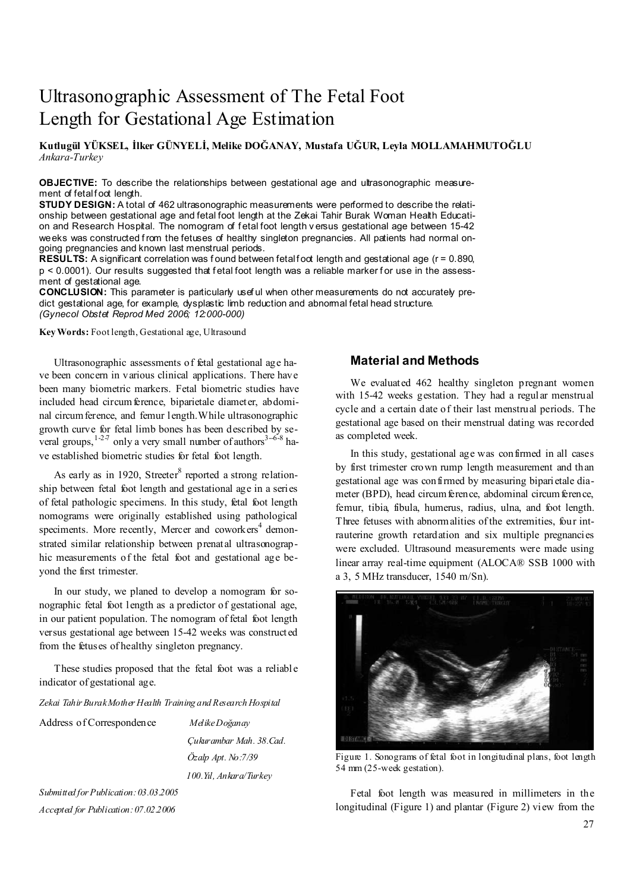# Ultrasonographic Assessment of The Fetal Foot Length for Gestational Age Estimation

**Kutlugül YÜKSEL, İlker GÜNYELİ, Melike DOĞANAY, Mustafa UĞUR, Leyla MOLLAMAHMUTOĞLU**  *Ankara-Turkey* 

**OBJECTIVE:** To describe the relationships between gestational age and ultrasonographic measurement of fetal foot length.

**STUDY DESIGN:** A total of 462 ultrasonographic measurements were performed to describe the relationship between gestational age and fetal foot length at the Zekai Tahir Burak Woman Health Education and Research Hospital. The nomogram of f etal foot length v ersus gestational age between 15-42 weeks was constructed from the fetuses of healthy singleton pregnancies. All patients had normal ongoing pregnancies and known last menstrual periods.

 $RESULTS: A significant correlation was found between fetal foot length and gestational age (r = 0.890,$ p < 0.0001). Our results suggested that fetal foot length was a reliable marker for use in the assessment of gestational age.

**CONCLUSION:** This parameter is particularly usef ul when other measurements do not accurately predict gestational age, for example, dysplastic limb reduction and abnormal fetal head structure. *(Gynecol Obstet Reprod Med 2006; 12:000-000)* 

**Key Words:** Foot length, Gestational age, Ultrasound

Ultrasonographic assessments of fetal gestational age have been concern in various clinical applications. There have been many biometric markers. Fetal biometric studies have included head circumference, biparietale diameter, abdominal circumference, and femur length.While ultrasonographic growth curve for fetal limb bones has been described by several groups,  $1-2-7$  only a very small number of authors  $3-6-8$  have established biometric studies for fetal foot length.

As early as in 1920, Streeter<sup>8</sup> reported a strong relationship between fetal foot length and gestational age in a series of fetal pathologic specimens. In this study, fetal foot length nomograms were originally established using pathological speciments. More recently, Mercer and coworkers<sup>4</sup> demonstrated similar relationship between prenatal ultrasonographic measurements of the fetal foot and gestational age beyond the first trimester.

In our study, we planed to develop a nomogram for sonographic fetal foot length as a predictor of gestational age, in our patient population. The nomogram of fetal foot length versus gestational age between 15-42 weeks was constructed from the fetuses of healthy singleton pregnancy.

These studies proposed that the fetal foot was a reliable indicator of gestational age.

*Zekai Tahir Burak Mother Health Training and Research Hospital* 

| Address of Correspondence | Melike Doğanav               |  |
|---------------------------|------------------------------|--|
|                           | Cukurambar Mah. 38.Cad.      |  |
|                           | $\ddot{O}z$ alp Apt. No:7/39 |  |
|                           | 100.Yil, Ankara/Turkey       |  |
|                           |                              |  |

*Submitted for Publication: 03.03.2005 Accepted for Publication: 07.02.2006* 

## **Material and Methods**

We evaluated 462 healthy singleton pregnant women with 15-42 weeks gestation. They had a regular menstrual cycle and a certain date of their last menstrual periods. The gestational age based on their menstrual dating was recorded as completed week.

In this study, gestational age was confirmed in all cases by first trimester crown rump length measurement and than gestational age was confirmed by measuring biparietale diameter (BPD), head circum ference, abdominal circum ference, femur, tibia, fibula, humerus, radius, ulna, and foot length. Three fetuses with abnormalities of the extremities, four intrauterine growth retardation and six multiple pregnancies were excluded. Ultrasound measurements were made using linear array real-time equipment (ALOCA® SSB 1000 with a 3, 5 MHz transducer, 1540 m/Sn).



Figure 1. Sonograms of fetal foot in longitudinal plans, foot length 54 mm (25-week gestation).

Fetal foot length was measured in millimeters in the longitudinal (Figure 1) and plantar (Figure 2) view from the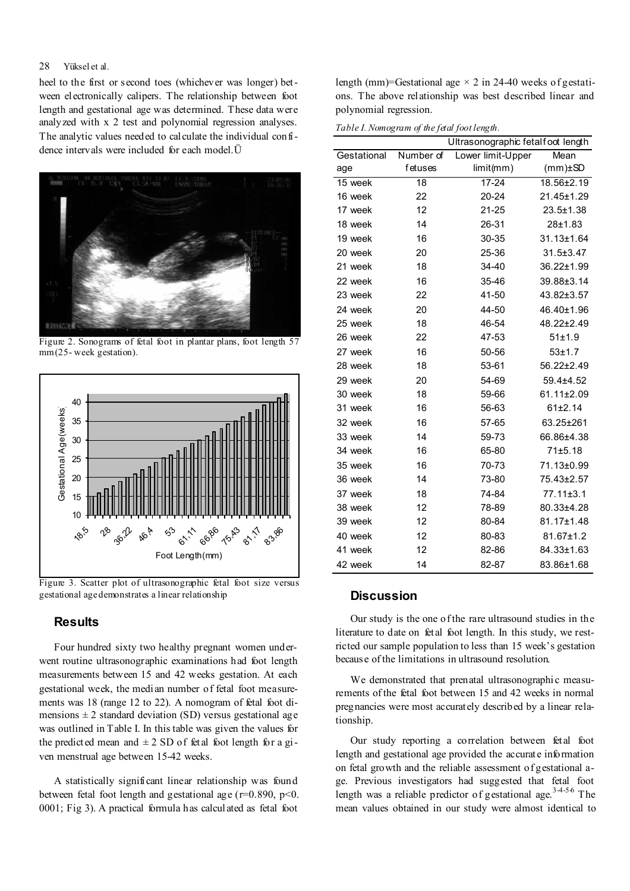### 28 Yüksel et al.

heel to the first or second toes (whichever was longer) between electronically calipers. The relationship between foot length and gestational age was determined. These data were analyzed with x 2 test and polynomial regression analyses. The analytic values needed to calculate the individual confidence intervals were included for each model.Ü



Figure 2. Sonograms of fetal foot in plantar plans, foot length 57 mm (25- week gestation).



Figure 3. Scatter plot of ultrasonographic fetal foot size versus gestational age demonstrates a linear relationship

## **Results**

Four hundred sixty two healthy pregnant women underwent routine ultrasonographic examinations had foot length measurements between 15 and 42 weeks gestation. At each gestational week, the median number of fetal foot measurements was 18 (range 12 to 22). A nomogram of fetal foot dimensions  $\pm 2$  standard deviation (SD) versus gestational age was outlined in Table I. In this table was given the values for the predicted mean and  $\pm 2$  SD of fetal foot length for a given menstrual age between 15-42 weeks.

A statistically significant linear relationship was found between fetal foot length and gestational age ( $r=0.890$ ,  $p<0$ . 0001; Fig 3). A practical formula has calculated as fetal foot

length (mm)=Gestational age  $\times$  2 in 24-40 weeks of gestations. The above relationship was best described linear and polynomial regression.

*Table I. Nomogram of the fetal foot length.* 

| Ultrasonographic fetalfoot length |           |                   |                 |
|-----------------------------------|-----------|-------------------|-----------------|
| Gestational                       | Number of | Lower limit-Upper | Mean            |
| age                               | fetuses   | limit(mm)         | $(mm) \pm SD$   |
| 15 week                           | 18        | 17-24             | 18.56±2.19      |
| 16 week                           | 22        | 20-24             | 21.45±1.29      |
| 17 week                           | 12        | 21-25             | $23.5 \pm 1.38$ |
| 18 week                           | 14        | 26-31             | 28±1.83         |
| 19 week                           | 16        | 30-35             | 31.13±1.64      |
| 20 week                           | 20        | 25-36             | 31.5±3.47       |
| 21 week                           | 18        | 34-40             | 36.22±1.99      |
| 22 week                           | 16        | 35-46             | 39.88±3.14      |
| 23 week                           | 22        | 41-50             | 43.82±3.57      |
| 24 week                           | 20        | 44-50             | 46.40±1.96      |
| 25 week                           | 18        | 46-54             | 48.22±2.49      |
| 26 week                           | 22        | 47-53             | 51±1.9          |
| 27 week                           | 16        | 50-56             | $53 + 1.7$      |
| 28 week                           | 18        | 53-61             | 56.22±2.49      |
| 29 week                           | 20        | 54-69             | 59.4±4.52       |
| 30 week                           | 18        | 59-66             | 61.11±2.09      |
| 31 week                           | 16        | 56-63             | 61±2.14         |
| 32 week                           | 16        | 57-65             | 63.25±261       |
| 33 week                           | 14        | 59-73             | 66.86±4.38      |
| 34 week                           | 16        | 65-80             | 71±5.18         |
| 35 week                           | 16        | 70-73             | 71.13±0.99      |
| 36 week                           | 14        | 73-80             | 75.43±2.57      |
| 37 week                           | 18        | 74-84             | $77.11 \pm 3.1$ |
| 38 week                           | 12        | 78-89             | 80.33±4.28      |
| 39 week                           | 12        | 80-84             | 81.17±1.48      |
| 40 week                           | 12        | 80-83             | 81.67±1.2       |
| 41 week                           | 12        | 82-86             | 84.33±1.63      |
| 42 week                           | 14        | 82-87             | 83.86±1.68      |

# **Discussion**

Our study is the one of the rare ultrasound studies in the literature to date on fetal foot length. In this study, we restricted our sample population to less than 15 week's gestation because of the limitations in ultrasound resolution.

We demonstrated that prenatal ultrasonographic measurements of the fetal foot between 15 and 42 weeks in normal pregnancies were most accurately described by a linear relationship.

Our study reporting a correlation between fetal foot length and gestational age provided the accurate information on fetal growth and the reliable assessment of gestational age. Previous investigators had suggested that fetal foot length was a reliable predictor of gestational age.<sup>3-4-56</sup> The mean values obtained in our study were almost identical to